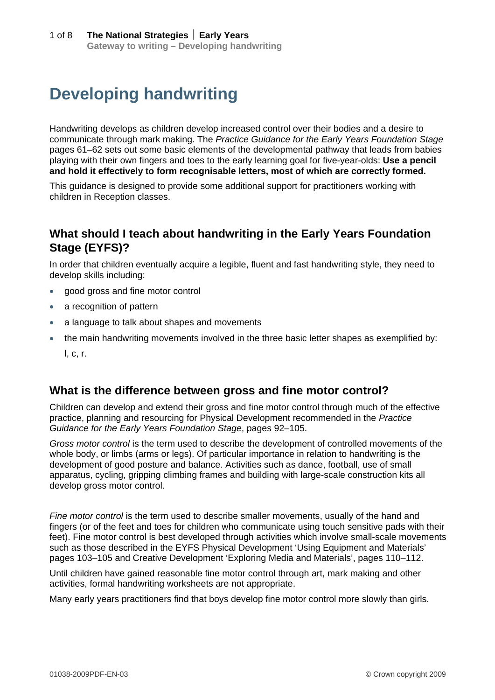# **Developing handwriting**

Handwriting develops as children develop increased control over their bodies and a desire to communicate through mark making. The *Practice Guidance for the Early Years Foundation Stage* pages 61–62 sets out some basic elements of the developmental pathway that leads from babies playing with their own fingers and toes to the early learning goal for five-year-olds: **Use a pencil and hold it effectively to form recognisable letters, most of which are correctly formed.** 

This guidance is designed to provide some additional support for practitioners working with children in Reception classes.

## **What should I teach about handwriting in the Early Years Foundation Stage (EYFS)?**

In order that children eventually acquire a legible, fluent and fast handwriting style, they need to develop skills including:

- good gross and fine motor control
- a recognition of pattern
- a language to talk about shapes and movements
- the main handwriting movements involved in the three basic letter shapes as exemplified by: l, c, r.

### **What is the difference between gross and fine motor control?**

Children can develop and extend their gross and fine motor control through much of the effective practice, planning and resourcing for Physical Development recommended in the *Practice Guidance for the Early Years Foundation Stage*, pages 92–105.

*Gross motor control* is the term used to describe the development of controlled movements of the whole body, or limbs (arms or legs). Of particular importance in relation to handwriting is the development of good posture and balance. Activities such as dance, football, use of small apparatus, cycling, gripping climbing frames and building with large-scale construction kits all develop gross motor control.

*Fine motor control* is the term used to describe smaller movements, usually of the hand and fingers (or of the feet and toes for children who communicate using touch sensitive pads with their feet). Fine motor control is best developed through activities which involve small-scale movements such as those described in the EYFS Physical Development 'Using Equipment and Materials' pages 103–105 and Creative Development 'Exploring Media and Materials', pages 110–112.

Until children have gained reasonable fine motor control through art, mark making and other activities, formal handwriting worksheets are not appropriate.

Many early years practitioners find that boys develop fine motor control more slowly than girls.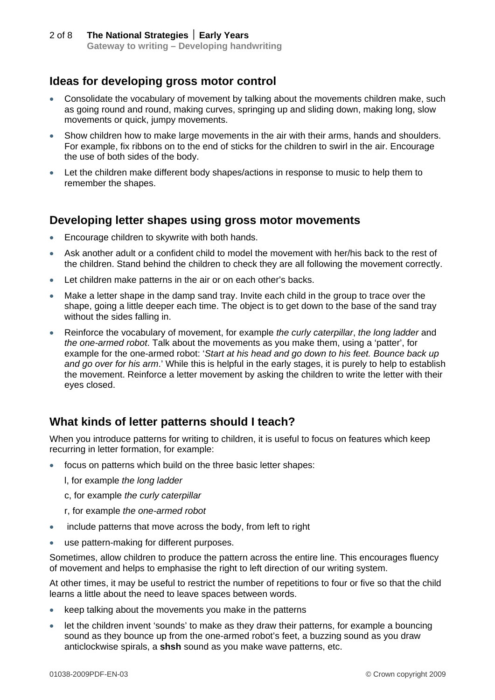## **Ideas for developing gross motor control**

- Consolidate the vocabulary of movement by talking about the movements children make, such as going round and round, making curves, springing up and sliding down, making long, slow movements or quick, jumpy movements.
- Show children how to make large movements in the air with their arms, hands and shoulders. For example, fix ribbons on to the end of sticks for the children to swirl in the air. Encourage the use of both sides of the body.
- Let the children make different body shapes/actions in response to music to help them to remember the shapes.

#### **Developing letter shapes using gross motor movements**

- **Encourage children to skywrite with both hands.**
- Ask another adult or a confident child to model the movement with her/his back to the rest of the children. Stand behind the children to check they are all following the movement correctly.
- Let children make patterns in the air or on each other's backs.
- Make a letter shape in the damp sand tray. Invite each child in the group to trace over the shape, going a little deeper each time. The object is to get down to the base of the sand tray without the sides falling in.
- Reinforce the vocabulary of movement, for example *the curly caterpillar*, *the long ladder* and *the one-armed robot*. Talk about the movements as you make them, using a 'patter', for example for the one-armed robot: '*Start at his head and go down to his feet. Bounce back up and go over for his arm*.' While this is helpful in the early stages, it is purely to help to establish the movement. Reinforce a letter movement by asking the children to write the letter with their eyes closed.

## **What kinds of letter patterns should I teach?**

When you introduce patterns for writing to children, it is useful to focus on features which keep recurring in letter formation, for example:

- focus on patterns which build on the three basic letter shapes:
	- l, for example *the long ladder*
	- c, for example *the curly caterpillar*
	- r, for example *the one-armed robot*
- include patterns that move across the body, from left to right
- use pattern-making for different purposes.

Sometimes, allow children to produce the pattern across the entire line. This encourages fluency of movement and helps to emphasise the right to left direction of our writing system.

At other times, it may be useful to restrict the number of repetitions to four or five so that the child learns a little about the need to leave spaces between words.

- $\bullet$  keep talking about the movements you make in the patterns
- let the children invent 'sounds' to make as they draw their patterns, for example a bouncing sound as they bounce up from the one-armed robot's feet, a buzzing sound as you draw anticlockwise spirals, a **shsh** sound as you make wave patterns, etc.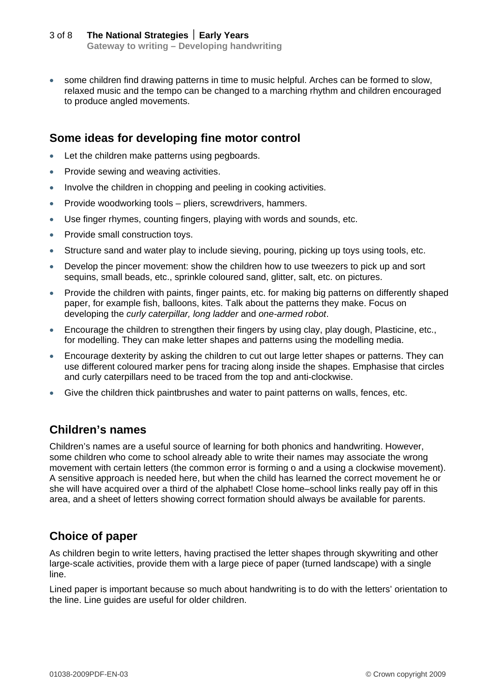some children find drawing patterns in time to music helpful. Arches can be formed to slow, relaxed music and the tempo can be changed to a marching rhythm and children encouraged to produce angled movements.

## **Some ideas for developing fine motor control**

- Let the children make patterns using pegboards.
- Provide sewing and weaving activities.
- Involve the children in chopping and peeling in cooking activities.
- Provide woodworking tools pliers, screwdrivers, hammers.
- Use finger rhymes, counting fingers, playing with words and sounds, etc.
- Provide small construction toys.
- Structure sand and water play to include sieving, pouring, picking up toys using tools, etc.
- Develop the pincer movement: show the children how to use tweezers to pick up and sort sequins, small beads, etc., sprinkle coloured sand, glitter, salt, etc. on pictures.
- Provide the children with paints, finger paints, etc. for making big patterns on differently shaped paper, for example fish, balloons, kites. Talk about the patterns they make. Focus on developing the *curly caterpillar, long ladder* and *one-armed robot*.
- Encourage the children to strengthen their fingers by using clay, play dough, Plasticine, etc., for modelling. They can make letter shapes and patterns using the modelling media.
- Encourage dexterity by asking the children to cut out large letter shapes or patterns. They can use different coloured marker pens for tracing along inside the shapes. Emphasise that circles and curly caterpillars need to be traced from the top and anti-clockwise.
- Give the children thick paintbrushes and water to paint patterns on walls, fences, etc.

### **Children's names**

Children's names are a useful source of learning for both phonics and handwriting. However, some children who come to school already able to write their names may associate the wrong movement with certain letters (the common error is forming o and a using a clockwise movement). A sensitive approach is needed here, but when the child has learned the correct movement he or she will have acquired over a third of the alphabet! Close home–school links really pay off in this area, and a sheet of letters showing correct formation should always be available for parents.

## **Choice of paper**

As children begin to write letters, having practised the letter shapes through skywriting and other large-scale activities, provide them with a large piece of paper (turned landscape) with a single line.

Lined paper is important because so much about handwriting is to do with the letters' orientation to the line. Line guides are useful for older children.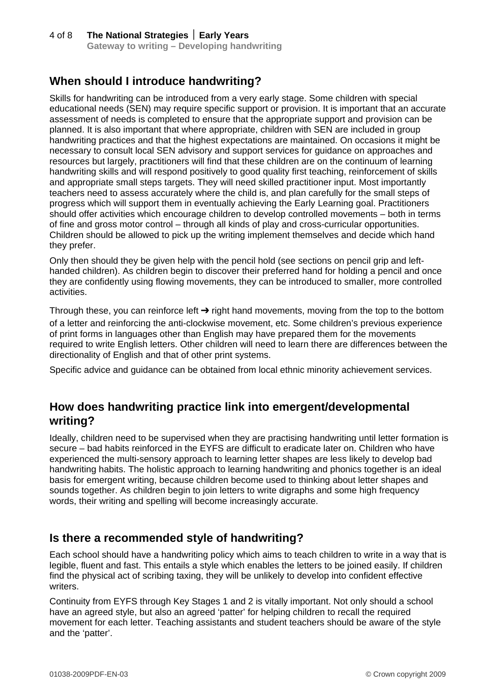# **When should I introduce handwriting?**

Skills for handwriting can be introduced from a very early stage. Some children with special educational needs (SEN) may require specific support or provision. It is important that an accurate assessment of needs is completed to ensure that the appropriate support and provision can be planned. It is also important that where appropriate, children with SEN are included in group handwriting practices and that the highest expectations are maintained. On occasions it might be necessary to consult local SEN advisory and support services for guidance on approaches and resources but largely, practitioners will find that these children are on the continuum of learning handwriting skills and will respond positively to good quality first teaching, reinforcement of skills and appropriate small steps targets. They will need skilled practitioner input. Most importantly teachers need to assess accurately where the child is, and plan carefully for the small steps of progress which will support them in eventually achieving the Early Learning goal. Practitioners should offer activities which encourage children to develop controlled movements – both in terms of fine and gross motor control – through all kinds of play and cross-curricular opportunities. Children should be allowed to pick up the writing implement themselves and decide which hand they prefer.

Only then should they be given help with the pencil hold (see sections on pencil grip and lefthanded children). As children begin to discover their preferred hand for holding a pencil and once they are confidently using flowing movements, they can be introduced to smaller, more controlled activities.

Through these, you can reinforce left  $\rightarrow$  right hand movements, moving from the top to the bottom of a letter and reinforcing the anti-clockwise movement, etc. Some children's previous experience of print forms in languages other than English may have prepared them for the movements required to write English letters. Other children will need to learn there are differences between the directionality of English and that of other print systems.

Specific advice and guidance can be obtained from local ethnic minority achievement services.

### **How does handwriting practice link into emergent/developmental writing?**

Ideally, children need to be supervised when they are practising handwriting until letter formation is secure – bad habits reinforced in the EYFS are difficult to eradicate later on. Children who have experienced the multi-sensory approach to learning letter shapes are less likely to develop bad handwriting habits. The holistic approach to learning handwriting and phonics together is an ideal basis for emergent writing, because children become used to thinking about letter shapes and sounds together. As children begin to join letters to write digraphs and some high frequency words, their writing and spelling will become increasingly accurate.

### **Is there a recommended style of handwriting?**

Each school should have a handwriting policy which aims to teach children to write in a way that is legible, fluent and fast. This entails a style which enables the letters to be joined easily. If children find the physical act of scribing taxing, they will be unlikely to develop into confident effective writers.

Continuity from EYFS through Key Stages 1 and 2 is vitally important. Not only should a school have an agreed style, but also an agreed 'patter' for helping children to recall the required movement for each letter. Teaching assistants and student teachers should be aware of the style and the 'patter'.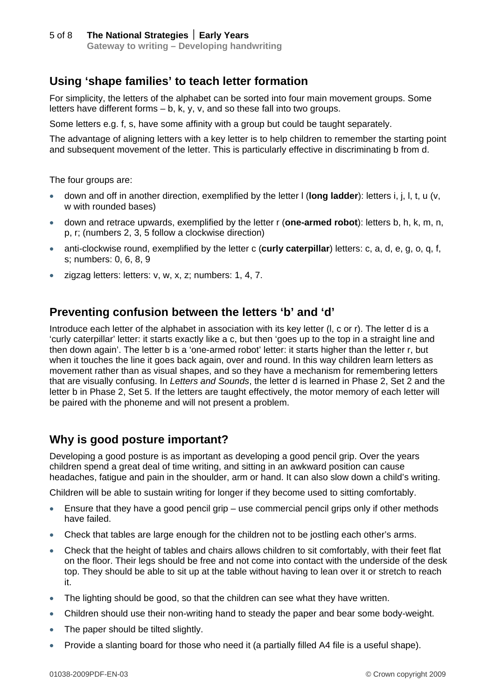## **Using 'shape families' to teach letter formation**

For simplicity, the letters of the alphabet can be sorted into four main movement groups. Some letters have different forms – b, k, y, v, and so these fall into two groups.

Some letters e.g. f, s, have some affinity with a group but could be taught separately.

The advantage of aligning letters with a key letter is to help children to remember the starting point and subsequent movement of the letter. This is particularly effective in discriminating b from d.

The four groups are:

- down and off in another direction, exemplified by the letter l (**long ladder**): letters i, j, l, t, u (v, w with rounded bases)
- down and retrace upwards, exemplified by the letter r (**one-armed robot**): letters b, h, k, m, n, p, r; (numbers 2, 3, 5 follow a clockwise direction)
- anti-clockwise round, exemplified by the letter c (**curly caterpillar**) letters: c, a, d, e, g, o, q, f, s; numbers: 0, 6, 8, 9
- $\bullet$  zigzag letters: letters: v, w, x, z; numbers: 1, 4, 7.

### **Preventing confusion between the letters 'b' and 'd'**

Introduce each letter of the alphabet in association with its key letter (l, c or r). The letter d is a 'curly caterpillar' letter: it starts exactly like a c, but then 'goes up to the top in a straight line and then down again'. The letter b is a 'one-armed robot' letter: it starts higher than the letter r, but when it touches the line it goes back again, over and round. In this way children learn letters as movement rather than as visual shapes, and so they have a mechanism for remembering letters that are visually confusing. In *Letters and Sounds*, the letter d is learned in Phase 2, Set 2 and the letter b in Phase 2, Set 5. If the letters are taught effectively, the motor memory of each letter will be paired with the phoneme and will not present a problem.

### **Why is good posture important?**

Developing a good posture is as important as developing a good pencil grip. Over the years children spend a great deal of time writing, and sitting in an awkward position can cause headaches, fatigue and pain in the shoulder, arm or hand. It can also slow down a child's writing.

Children will be able to sustain writing for longer if they become used to sitting comfortably.

- Ensure that they have a good pencil grip use commercial pencil grips only if other methods have failed.
- Check that tables are large enough for the children not to be jostling each other's arms.
- Check that the height of tables and chairs allows children to sit comfortably, with their feet flat on the floor. Their legs should be free and not come into contact with the underside of the desk top. They should be able to sit up at the table without having to lean over it or stretch to reach it.
- The lighting should be good, so that the children can see what they have written.
- Children should use their non-writing hand to steady the paper and bear some body-weight.
- The paper should be tilted slightly.
- Provide a slanting board for those who need it (a partially filled A4 file is a useful shape).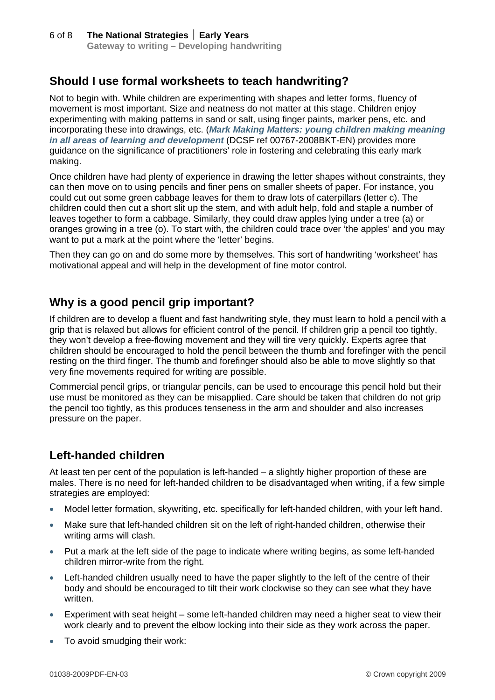## **Should I use formal worksheets to teach handwriting?**

Not to begin with. While children are experimenting with shapes and letter forms, fluency of movement is most important. Size and neatness do not matter at this stage. Children enjoy experimenting with making patterns in sand or salt, using finger paints, marker pens, etc. and incorporating these into drawings, etc. (*[Mark Making Matters: young children making meaning](http://nationalstrategies.standards.dcsf.gov.uk/node/132558)  [in all areas of learning and development](http://nationalstrategies.standards.dcsf.gov.uk/node/132558)* (DCSF ref 00767-2008BKT-EN) provides more guidance on the significance of practitioners' role in fostering and celebrating this early mark making.

Once children have had plenty of experience in drawing the letter shapes without constraints, they can then move on to using pencils and finer pens on smaller sheets of paper. For instance, you could cut out some green cabbage leaves for them to draw lots of caterpillars (letter c). The children could then cut a short slit up the stem, and with adult help, fold and staple a number of leaves together to form a cabbage. Similarly, they could draw apples lying under a tree (a) or oranges growing in a tree (o). To start with, the children could trace over 'the apples' and you may want to put a mark at the point where the 'letter' begins.

Then they can go on and do some more by themselves. This sort of handwriting 'worksheet' has motivational appeal and will help in the development of fine motor control.

## **Why is a good pencil grip important?**

If children are to develop a fluent and fast handwriting style, they must learn to hold a pencil with a grip that is relaxed but allows for efficient control of the pencil. If children grip a pencil too tightly, they won't develop a free-flowing movement and they will tire very quickly. Experts agree that children should be encouraged to hold the pencil between the thumb and forefinger with the pencil resting on the third finger. The thumb and forefinger should also be able to move slightly so that very fine movements required for writing are possible.

Commercial pencil grips, or triangular pencils, can be used to encourage this pencil hold but their use must be monitored as they can be misapplied. Care should be taken that children do not grip the pencil too tightly, as this produces tenseness in the arm and shoulder and also increases pressure on the paper.

## **Left-handed children**

At least ten per cent of the population is left-handed – a slightly higher proportion of these are males. There is no need for left-handed children to be disadvantaged when writing, if a few simple strategies are employed:

- Model letter formation, skywriting, etc. specifically for left-handed children, with your left hand.
- Make sure that left-handed children sit on the left of right-handed children, otherwise their writing arms will clash.
- Put a mark at the left side of the page to indicate where writing begins, as some left-handed children mirror-write from the right.
- Left-handed children usually need to have the paper slightly to the left of the centre of their body and should be encouraged to tilt their work clockwise so they can see what they have written.
- Experiment with seat height some left-handed children may need a higher seat to view their work clearly and to prevent the elbow locking into their side as they work across the paper.
- To avoid smudging their work: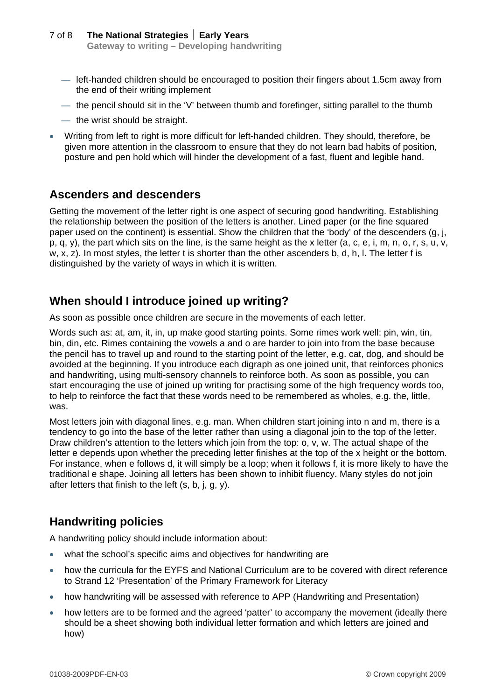- left-handed children should be encouraged to position their fingers about 1.5cm away from the end of their writing implement
- the pencil should sit in the 'V' between thumb and forefinger, sitting parallel to the thumb
- the wrist should be straight.
- Writing from left to right is more difficult for left-handed children. They should, therefore, be given more attention in the classroom to ensure that they do not learn bad habits of position, posture and pen hold which will hinder the development of a fast, fluent and legible hand.

#### **Ascenders and descenders**

Getting the movement of the letter right is one aspect of securing good handwriting. Establishing the relationship between the position of the letters is another. Lined paper (or the fine squared paper used on the continent) is essential. Show the children that the 'body' of the descenders (g, j, p, q, y), the part which sits on the line, is the same height as the x letter (a, c, e, i, m, n, o, r, s, u, v, w, x, z). In most styles, the letter t is shorter than the other ascenders b, d, h, l. The letter f is distinguished by the variety of ways in which it is written.

### **When should I introduce joined up writing?**

As soon as possible once children are secure in the movements of each letter.

Words such as: at, am, it, in, up make good starting points. Some rimes work well: pin, win, tin, bin, din, etc. Rimes containing the vowels a and o are harder to join into from the base because the pencil has to travel up and round to the starting point of the letter, e.g. cat, dog, and should be avoided at the beginning. If you introduce each digraph as one joined unit, that reinforces phonics and handwriting, using multi-sensory channels to reinforce both. As soon as possible, you can start encouraging the use of joined up writing for practising some of the high frequency words too, to help to reinforce the fact that these words need to be remembered as wholes, e.g. the, little, was.

Most letters join with diagonal lines, e.g. man. When children start joining into n and m, there is a tendency to go into the base of the letter rather than using a diagonal join to the top of the letter. Draw children's attention to the letters which join from the top: o, v, w. The actual shape of the letter e depends upon whether the preceding letter finishes at the top of the x height or the bottom. For instance, when e follows d, it will simply be a loop; when it follows f, it is more likely to have the traditional e shape. Joining all letters has been shown to inhibit fluency. Many styles do not join after letters that finish to the left (s, b, j, g, y).

### **Handwriting policies**

A handwriting policy should include information about:

- what the school's specific aims and objectives for handwriting are
- how the curricula for the EYFS and National Curriculum are to be covered with direct reference to Strand 12 'Presentation' of the Primary Framework for Literacy
- how handwriting will be assessed with reference to APP (Handwriting and Presentation)
- how letters are to be formed and the agreed 'patter' to accompany the movement (ideally there should be a sheet showing both individual letter formation and which letters are joined and how)